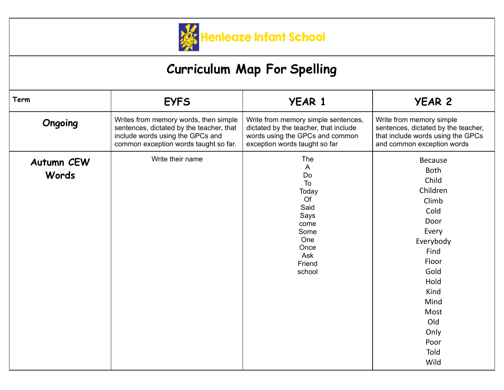

## **Curriculum Map For Spelling**

| Term                       | <b>EYFS</b>                                                                                                                                                    | <b>YEAR 1</b>                                                                                                                                    | <b>YEAR 2</b>                                                                                                                                                                              |
|----------------------------|----------------------------------------------------------------------------------------------------------------------------------------------------------------|--------------------------------------------------------------------------------------------------------------------------------------------------|--------------------------------------------------------------------------------------------------------------------------------------------------------------------------------------------|
| Ongoing                    | Writes from memory words, then simple<br>sentences, dictated by the teacher, that<br>include words using the GPCs and<br>common exception words taught so far. | Write from memory simple sentences,<br>dictated by the teacher, that include<br>words using the GPCs and common<br>exception words taught so far | Write from memory simple<br>sentences, dictated by the teacher,<br>that include words using the GPCs<br>and common exception words                                                         |
| <b>Autumn CEW</b><br>Words | Write their name                                                                                                                                               | The<br>A<br>Do<br>To<br>Today<br>Of<br>Said<br>Says<br>come<br>Some<br>One<br>Once<br>Ask<br>Friend<br>school                                    | Because<br><b>Both</b><br>Child<br>Children<br>Climb<br>Cold<br>Door<br>Every<br>Everybody<br>Find<br>Floor<br>Gold<br>Hold<br>Kind<br>Mind<br>Most<br>Old<br>Only<br>Poor<br>Told<br>Wild |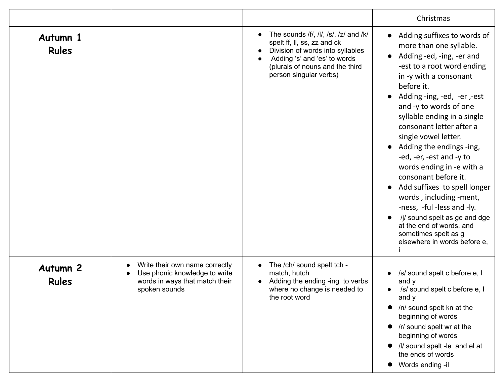|                                 |                                                                                                                                 |                                                                                                                                                                                                       | Christmas                                                                                                                                                                                                                                                                                                                                                                                                                                                                                                                                                                                                                                                               |
|---------------------------------|---------------------------------------------------------------------------------------------------------------------------------|-------------------------------------------------------------------------------------------------------------------------------------------------------------------------------------------------------|-------------------------------------------------------------------------------------------------------------------------------------------------------------------------------------------------------------------------------------------------------------------------------------------------------------------------------------------------------------------------------------------------------------------------------------------------------------------------------------------------------------------------------------------------------------------------------------------------------------------------------------------------------------------------|
| Autumn 1<br><b>Rules</b>        |                                                                                                                                 | The sounds /f/, /l/, /s/, /z/ and /k/<br>spelt ff, II, ss, zz and ck<br>Division of words into syllables<br>Adding 's' and 'es' to words<br>(plurals of nouns and the third<br>person singular verbs) | Adding suffixes to words of<br>$\bullet$<br>more than one syllable.<br>Adding -ed, -ing, -er and<br>$\bullet$<br>-est to a root word ending<br>in -y with a consonant<br>before it.<br>Adding -ing, -ed, -er, -est<br>and -y to words of one<br>syllable ending in a single<br>consonant letter after a<br>single vowel letter.<br>Adding the endings -ing,<br>$\bullet$<br>-ed, -er, -est and -y to<br>words ending in -e with a<br>consonant before it.<br>Add suffixes to spell longer<br>words, including -ment,<br>-ness, -ful -less and -ly.<br>/j/ sound spelt as ge and dge<br>at the end of words, and<br>sometimes spelt as g<br>elsewhere in words before e, |
| <b>Autumn 2</b><br><b>Rules</b> | Write their own name correctly<br>$\bullet$<br>Use phonic knowledge to write<br>words in ways that match their<br>spoken sounds | The /ch/ sound spelt tch -<br>match, hutch<br>Adding the ending -ing to verbs<br>where no change is needed to<br>the root word                                                                        | /s/ sound spelt c before e, I<br>and y<br>/s/ sound spelt c before e, I<br>$\bullet$<br>and y<br>/n/ sound spelt kn at the<br>$\bullet$<br>beginning of words<br>/r/ sound spelt wr at the<br>beginning of words<br>/I/ sound spelt -le and el at<br>the ends of words<br>Words ending -il<br>$\bullet$                                                                                                                                                                                                                                                                                                                                                                 |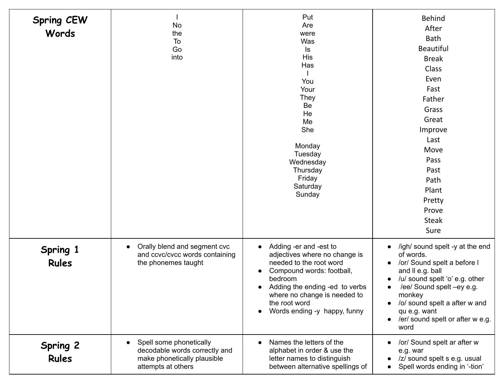| <b>Spring CEW</b><br>Words      | No<br>the<br>To<br>Go<br>into                                                                                              | Put<br>Are<br>were<br>Was<br>ls<br><b>His</b><br>Has<br>You<br>Your<br><b>They</b><br>Be<br>He<br>Me<br>She<br>Monday<br>Tuesday<br>Wednesday<br>Thursday<br>Friday<br>Saturday<br>Sunday                                                                                                         | <b>Behind</b><br>After<br><b>Bath</b><br><b>Beautiful</b><br><b>Break</b><br>Class<br>Even<br>Fast<br>Father<br>Grass<br>Great<br>Improve<br>Last<br>Move<br>Pass<br>Past<br>Path<br>Plant<br>Pretty<br>Prove<br><b>Steak</b><br>Sure                                                                                     |
|---------------------------------|----------------------------------------------------------------------------------------------------------------------------|---------------------------------------------------------------------------------------------------------------------------------------------------------------------------------------------------------------------------------------------------------------------------------------------------|---------------------------------------------------------------------------------------------------------------------------------------------------------------------------------------------------------------------------------------------------------------------------------------------------------------------------|
| Spring 1<br><b>Rules</b>        | Orally blend and segment cvc<br>$\bullet$<br>and ccvc/cvcc words containing<br>the phonemes taught                         | Adding -er and -est to<br>$\bullet$<br>adjectives where no change is<br>needed to the root word<br>Compound words: football,<br>$\bullet$<br>bedroom<br>Adding the ending -ed to verbs<br>$\bullet$<br>where no change is needed to<br>the root word<br>Words ending -y happy, funny<br>$\bullet$ | /igh/ sound spelt -y at the end<br>$\bullet$<br>of words.<br>/or/ Sound spelt a before I<br>$\bullet$<br>and II e.g. ball<br>/u/ sound spelt 'o' e.g. other<br>/ee/ Sound spelt -ey e.g.<br>$\bullet$<br>monkey<br>/o/ sound spelt a after w and<br>qu e.g. want<br>/er/ sound spelt or after w e.g.<br>$\bullet$<br>word |
| <b>Spring 2</b><br><b>Rules</b> | Spell some phonetically<br>$\bullet$<br>decodable words correctly and<br>make phonetically plausible<br>attempts at others | Names the letters of the<br>$\bullet$<br>alphabet in order & use the<br>letter names to distinguish<br>between alternative spellings of                                                                                                                                                           | /or/ Sound spelt ar after w<br>$\bullet$<br>e.g. war<br>/z/ sound spelt s e.g. usual<br>Spell words ending in '-tion'                                                                                                                                                                                                     |